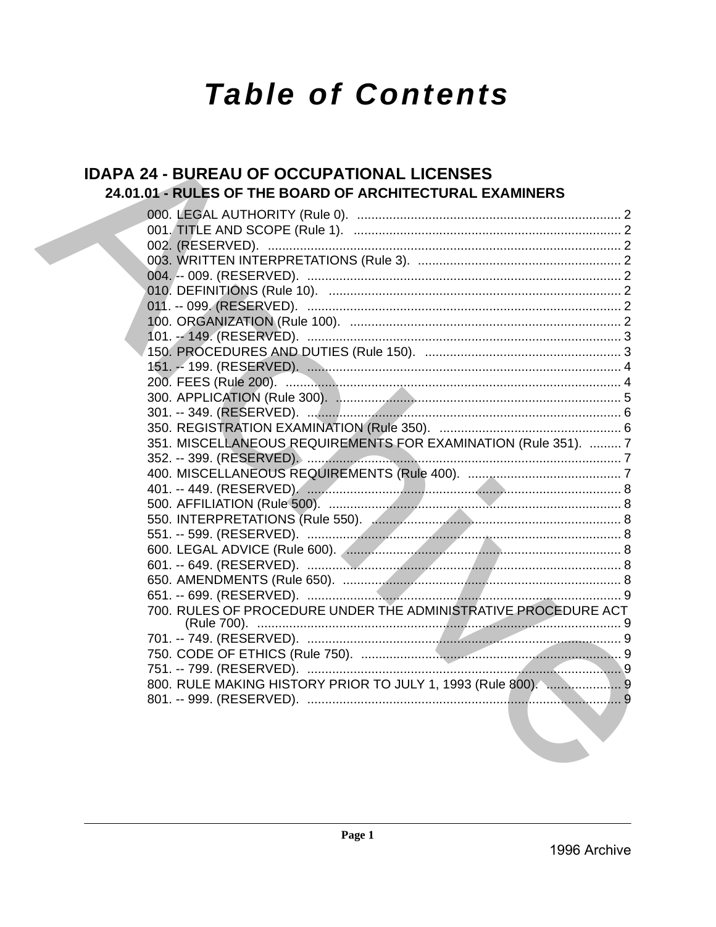# **Table of Contents**

# **IDAPA 24 - BUREAU OF OCCUPATIONAL LICENSES** 24.01.01 - RULES OF THE BOARD OF ARCHITECTURAL EXAMINERS

| 351. MISCELLANEOUS REQUIREMENTS FOR EXAMINATION (Rule 351).  7                                                  |  |
|-----------------------------------------------------------------------------------------------------------------|--|
|                                                                                                                 |  |
|                                                                                                                 |  |
|                                                                                                                 |  |
|                                                                                                                 |  |
|                                                                                                                 |  |
|                                                                                                                 |  |
|                                                                                                                 |  |
|                                                                                                                 |  |
|                                                                                                                 |  |
|                                                                                                                 |  |
| 700. RULES OF PROCEDURE UNDER THE ADMINISTRATIVE PROCEDURE ACT                                                  |  |
|                                                                                                                 |  |
|                                                                                                                 |  |
|                                                                                                                 |  |
|                                                                                                                 |  |
| 800. RULE MAKING HISTORY PRIOR TO JULY 1, 1993 (Rule 800).  9                                                   |  |
|                                                                                                                 |  |
| the contract of the contract of the contract of the contract of the contract of the contract of the contract of |  |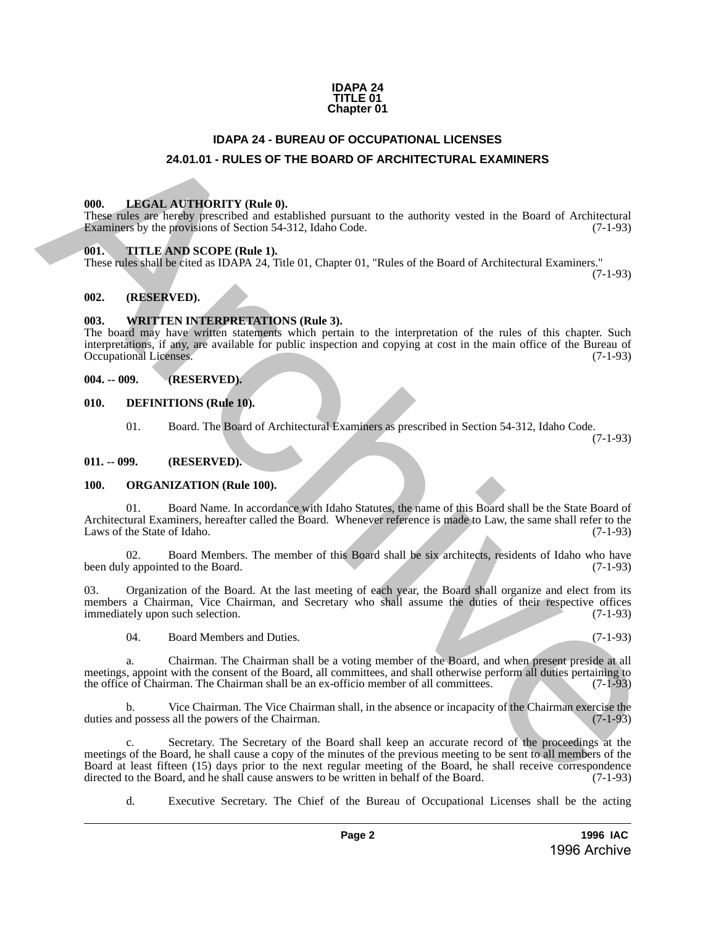### **IDAPA 24 TITLE 01 Chapter 01**

# **IDAPA 24 - BUREAU OF OCCUPATIONAL LICENSES 24.01.01 - RULES OF THE BOARD OF ARCHITECTURAL EXAMINERS**

### <span id="page-1-2"></span><span id="page-1-1"></span>**000. LEGAL AUTHORITY (Rule 0).**

These rules are hereby prescribed and established pursuant to the authority vested in the Board of Architectural Examiners by the provisions of Section 54-312, Idaho Code. (7-1-93)

### <span id="page-1-3"></span>**001. TITLE AND SCOPE (Rule 1).**

These rules shall be cited as IDAPA 24, Title 01, Chapter 01, "Rules of the Board of Architectural Examiners."

(7-1-93)

### <span id="page-1-4"></span>**002. (RESERVED).**

### <span id="page-1-5"></span>**003. WRITTEN INTERPRETATIONS (Rule 3).**

The board may have written statements which pertain to the interpretation of the rules of this chapter. Such interpretations, if any, are available for public inspection and copying at cost in the main office of the Bureau of Occupational Licenses.

### <span id="page-1-6"></span>**004. -- 009. (RESERVED).**

### <span id="page-1-7"></span>**010. DEFINITIONS (Rule 10).**

01. Board. The Board of Architectural Examiners as prescribed in Section 54-312, Idaho Code.

(7-1-93)

### <span id="page-1-8"></span>**011. -- 099. (RESERVED).**

### <span id="page-1-9"></span>**100. ORGANIZATION (Rule 100).**

01. Board Name. In accordance with Idaho Statutes, the name of this Board shall be the State Board of Architectural Examiners, hereafter called the Board. Whenever reference is made to Law, the same shall refer to the Laws of the State of Idaho. (7-1-93) Laws of the State of Idaho.

02. Board Members. The member of this Board shall be six architects, residents of Idaho who have y appointed to the Board. (7-1-93) been duly appointed to the Board.

03. Organization of the Board. At the last meeting of each year, the Board shall organize and elect from its members a Chairman, Vice Chairman, and Secretary who shall assume the duties of their respective offices immediately upon such selection. (7-1-93)

04. Board Members and Duties. (7-1-93)

a. Chairman. The Chairman shall be a voting member of the Board, and when present preside at all meetings, appoint with the consent of the Board, all committees, and shall otherwise perform all duties pertaining to the office of Chairman. The Chairman shall be an ex-officio member of all committees. (7-1-93) the office of Chairman. The Chairman shall be an ex-officio member of all committees.

b. Vice Chairman. The Vice Chairman shall, in the absence or incapacity of the Chairman exercise the duties and possess all the powers of the Chairman.

<span id="page-1-0"></span>c. Secretary. The Secretary of the Board shall keep an accurate record of the proceedings at the meetings of the Board, he shall cause a copy of the minutes of the previous meeting to be sent to all members of the Board at least fifteen (15) days prior to the next regular meeting of the Board, he shall receive correspondence directed to the Board, and he shall cause answers to be written in behalf of the Board. (7-1-93) directed to the Board, and he shall cause answers to be written in behalf of the Board. **24.01.01 FIRAL ALTERNATIONS IDENTIFY (Righ)**<br>**24.01.01 FRIUES DE THE BOARD OF ARCHITECTURAL LEXAMINERS**<br>
THE **EXAMINERS**<br>
THE **EXAMINENT CONTINUITY (Right)** (Righ)<br> **EXAMINENT CONTINUES** (TO THE **EXAMINENT CONTINUES** (TO

d. Executive Secretary. The Chief of the Bureau of Occupational Licenses shall be the acting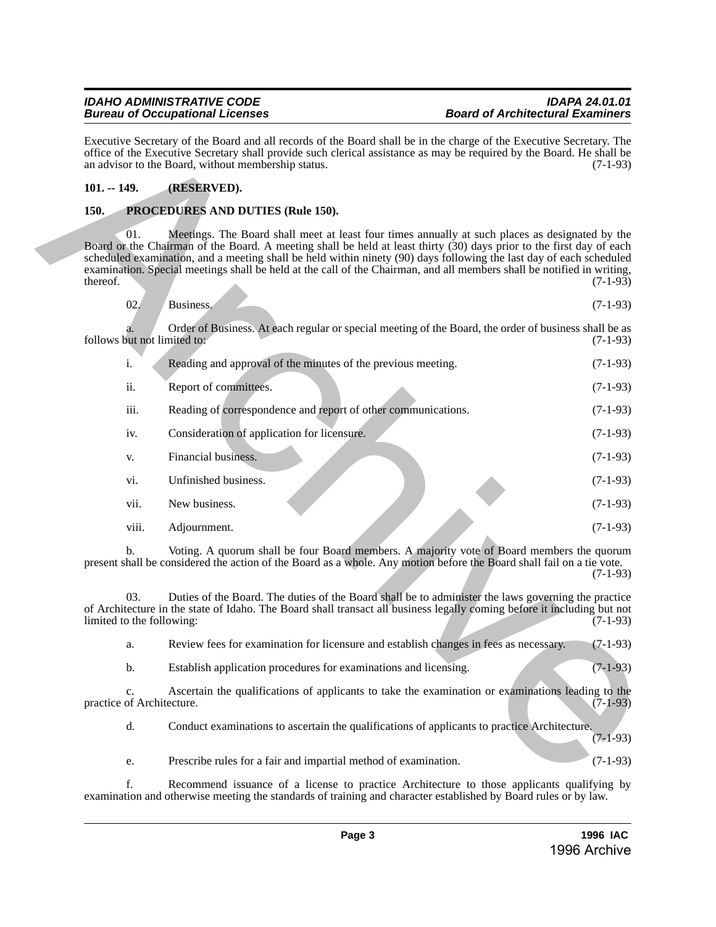### *IDAHO ADMINISTRATIVE CODE IDAPA 24.01.01 Bureau of Occupational Licenses*

# <span id="page-2-0"></span>**101. -- 149. (RESERVED).**

# <span id="page-2-1"></span>**150. PROCEDURES AND DUTIES (Rule 150).**

| Executive Secretary of the Board and all records of the Board shall be in the charge of the Executive Secretary. The<br>office of the Executive Secretary shall provide such clerical assistance as may be required by the Board. He shall be<br>an advisor to the Board, without membership status. |                                                                                                                                                                                                                                                                                                                                                                                                                                                                          | $(7-1-93)$ |
|------------------------------------------------------------------------------------------------------------------------------------------------------------------------------------------------------------------------------------------------------------------------------------------------------|--------------------------------------------------------------------------------------------------------------------------------------------------------------------------------------------------------------------------------------------------------------------------------------------------------------------------------------------------------------------------------------------------------------------------------------------------------------------------|------------|
| $101. - 149.$                                                                                                                                                                                                                                                                                        | (RESERVED).                                                                                                                                                                                                                                                                                                                                                                                                                                                              |            |
| 150.                                                                                                                                                                                                                                                                                                 | PROCEDURES AND DUTIES (Rule 150).                                                                                                                                                                                                                                                                                                                                                                                                                                        |            |
| 01.<br>thereof.                                                                                                                                                                                                                                                                                      | Meetings. The Board shall meet at least four times annually at such places as designated by the<br>Board or the Chairman of the Board. A meeting shall be held at least thirty (30) days prior to the first day of each<br>scheduled examination, and a meeting shall be held within ninety (90) days following the last day of each scheduled<br>examination. Special meetings shall be held at the call of the Chairman, and all members shall be notified in writing, | $(7-1-93)$ |
| 02.                                                                                                                                                                                                                                                                                                  | Business.                                                                                                                                                                                                                                                                                                                                                                                                                                                                | $(7-1-93)$ |
| follows but not limited to:                                                                                                                                                                                                                                                                          | Order of Business. At each regular or special meeting of the Board, the order of business shall be as                                                                                                                                                                                                                                                                                                                                                                    | $(7-1-93)$ |
| i.                                                                                                                                                                                                                                                                                                   | Reading and approval of the minutes of the previous meeting.                                                                                                                                                                                                                                                                                                                                                                                                             | $(7-1-93)$ |
| ii.                                                                                                                                                                                                                                                                                                  | Report of committees.                                                                                                                                                                                                                                                                                                                                                                                                                                                    | $(7-1-93)$ |
| iii.                                                                                                                                                                                                                                                                                                 | Reading of correspondence and report of other communications.                                                                                                                                                                                                                                                                                                                                                                                                            | $(7-1-93)$ |
| iv.                                                                                                                                                                                                                                                                                                  | Consideration of application for licensure.                                                                                                                                                                                                                                                                                                                                                                                                                              | $(7-1-93)$ |
| V.                                                                                                                                                                                                                                                                                                   | Financial business.                                                                                                                                                                                                                                                                                                                                                                                                                                                      | $(7-1-93)$ |
| vi.                                                                                                                                                                                                                                                                                                  | Unfinished business.                                                                                                                                                                                                                                                                                                                                                                                                                                                     | $(7-1-93)$ |
| vii.                                                                                                                                                                                                                                                                                                 | New business.                                                                                                                                                                                                                                                                                                                                                                                                                                                            | $(7-1-93)$ |
| viii.                                                                                                                                                                                                                                                                                                | Adjournment.                                                                                                                                                                                                                                                                                                                                                                                                                                                             | $(7-1-93)$ |
| b.                                                                                                                                                                                                                                                                                                   | Voting. A quorum shall be four Board members. A majority vote of Board members the quorum<br>present shall be considered the action of the Board as a whole. Any motion before the Board shall fail on a tie vote.                                                                                                                                                                                                                                                       | $(7-1-93)$ |
| 03.<br>limited to the following:                                                                                                                                                                                                                                                                     | Duties of the Board. The duties of the Board shall be to administer the laws governing the practice<br>of Architecture in the state of Idaho. The Board shall transact all business legally coming before it including but not                                                                                                                                                                                                                                           | $(7-1-93)$ |
| a.                                                                                                                                                                                                                                                                                                   | Review fees for examination for licensure and establish changes in fees as necessary.                                                                                                                                                                                                                                                                                                                                                                                    | $(7-1-93)$ |
| b.                                                                                                                                                                                                                                                                                                   | Establish application procedures for examinations and licensing.                                                                                                                                                                                                                                                                                                                                                                                                         | $(7-1-93)$ |
| c.<br>practice of Architecture.                                                                                                                                                                                                                                                                      | Ascertain the qualifications of applicants to take the examination or examinations leading to the                                                                                                                                                                                                                                                                                                                                                                        | $(7-1-93)$ |
| d.                                                                                                                                                                                                                                                                                                   | Conduct examinations to ascertain the qualifications of applicants to practice Architecture.                                                                                                                                                                                                                                                                                                                                                                             | $(7-1-93)$ |
| e.                                                                                                                                                                                                                                                                                                   | Prescribe rules for a fair and impartial method of examination.                                                                                                                                                                                                                                                                                                                                                                                                          | $(7-1-93)$ |
|                                                                                                                                                                                                                                                                                                      |                                                                                                                                                                                                                                                                                                                                                                                                                                                                          |            |

f. Recommend issuance of a license to practice Architecture to those applicants qualifying by examination and otherwise meeting the standards of training and character established by Board rules or by law.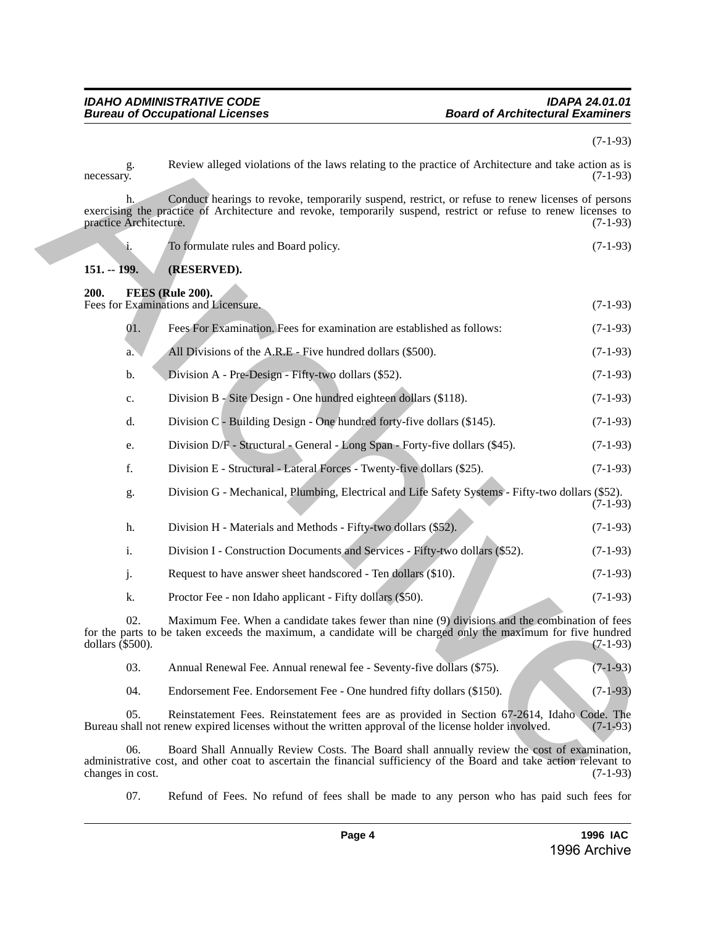<span id="page-3-1"></span><span id="page-3-0"></span>

|                        |                |                                                                                                                                                                                                                       | $(7-1-93)$ |
|------------------------|----------------|-----------------------------------------------------------------------------------------------------------------------------------------------------------------------------------------------------------------------|------------|
| necessary.             | g.             | Review alleged violations of the laws relating to the practice of Architecture and take action as is                                                                                                                  | $(7-1-93)$ |
| practice Architecture. | h.             | Conduct hearings to revoke, temporarily suspend, restrict, or refuse to renew licenses of persons<br>exercising the practice of Architecture and revoke, temporarily suspend, restrict or refuse to renew licenses to | $(7-1-93)$ |
|                        | 1.             | To formulate rules and Board policy.                                                                                                                                                                                  | $(7-1-93)$ |
| $151. - 199.$          |                | (RESERVED).                                                                                                                                                                                                           |            |
| 200.                   |                | FEES (Rule 200).                                                                                                                                                                                                      |            |
|                        |                | Fees for Examinations and Licensure.                                                                                                                                                                                  | $(7-1-93)$ |
|                        | 01.            | Fees For Examination. Fees for examination are established as follows:                                                                                                                                                | $(7-1-93)$ |
|                        | a.             | All Divisions of the A.R.E - Five hundred dollars (\$500).                                                                                                                                                            | $(7-1-93)$ |
|                        | b.             | Division A - Pre-Design - Fifty-two dollars (\$52).                                                                                                                                                                   | $(7-1-93)$ |
|                        | c.             | Division B - Site Design - One hundred eighteen dollars (\$118).                                                                                                                                                      | $(7-1-93)$ |
|                        | d.             | Division C - Building Design - One hundred forty-five dollars (\$145).                                                                                                                                                | $(7-1-93)$ |
|                        | e.             | Division D/F - Structural - General - Long Span - Forty-five dollars (\$45).                                                                                                                                          | $(7-1-93)$ |
|                        | f.             | Division E - Structural - Lateral Forces - Twenty-five dollars (\$25).                                                                                                                                                | $(7-1-93)$ |
|                        | g.             | Division G - Mechanical, Plumbing, Electrical and Life Safety Systems - Fifty-two dollars (\$52).                                                                                                                     | $(7-1-93)$ |
|                        | h.             | Division H - Materials and Methods - Fifty-two dollars (\$52).                                                                                                                                                        | $(7-1-93)$ |
|                        | $\mathbf{i}$ . | Division I - Construction Documents and Services - Fifty-two dollars (\$52).                                                                                                                                          | $(7-1-93)$ |
|                        | j.             | Request to have answer sheet handscored - Ten dollars (\$10).                                                                                                                                                         | $(7-1-93)$ |
|                        | k.             | Proctor Fee - non Idaho applicant - Fifty dollars (\$50).                                                                                                                                                             | $(7-1-93)$ |
| dollars $(\$500)$ .    | 02.            | Maximum Fee. When a candidate takes fewer than nine (9) divisions and the combination of fees<br>for the parts to be taken exceeds the maximum, a candidate will be charged only the maximum for five hundred         | $(7-1-93)$ |
|                        | 03.            | Annual Renewal Fee. Annual renewal fee - Seventy-five dollars (\$75).                                                                                                                                                 | $(7-1-93)$ |
|                        | 04.            | Endorsement Fee. Endorsement Fee - One hundred fifty dollars (\$150).                                                                                                                                                 | $(7-1-93)$ |
|                        | 05.            | Reinstatement Fees. Reinstatement fees are as provided in Section 67-2614, Idaho Code. The<br>Bureau shall not renew expired licenses without the written approval of the license holder involved.                    | $(7-1-93)$ |
| changes in cost.       | 06.            | Board Shall Annually Review Costs. The Board shall annually review the cost of examination,<br>administrative cost, and other coat to ascertain the financial sufficiency of the Board and take action relevant to    | $(7-1-93)$ |

07. Refund of Fees. No refund of fees shall be made to any person who has paid such fees for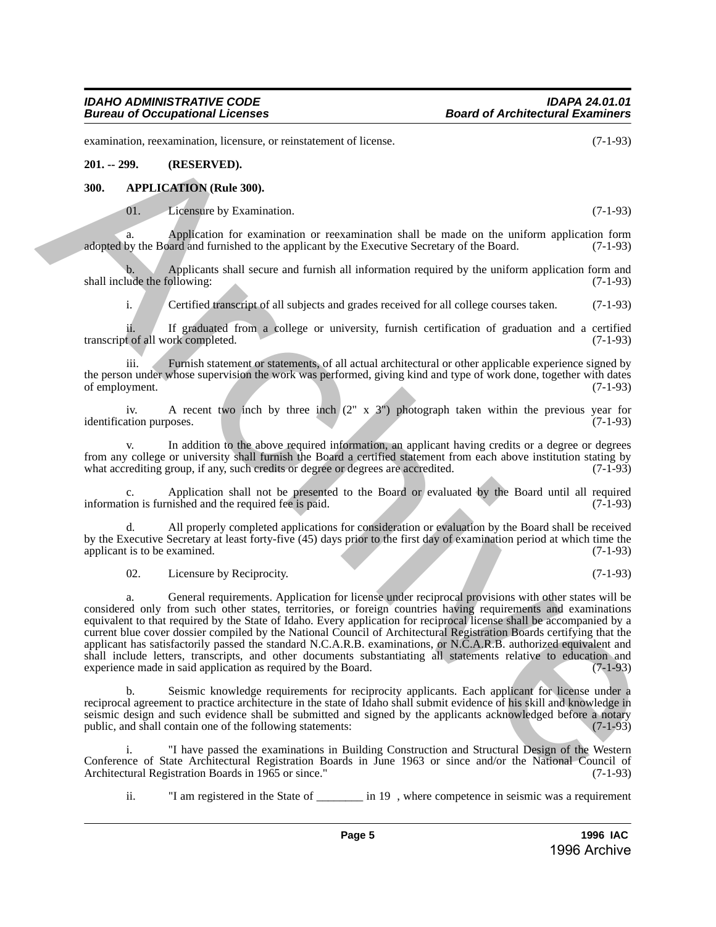examination, reexamination, licensure, or reinstatement of license. (7-1-93)

### **201. -- 299. (RESERVED).**

### <span id="page-4-0"></span>**300. APPLICATION (Rule 300).**

01. Licensure by Examination. (7-1-93)

a. Application for examination or reexamination shall be made on the uniform application form adopted by the Board and furnished to the applicant by the Executive Secretary of the Board. (7-1-93)

b. Applicants shall secure and furnish all information required by the uniform application form and lude the following: (7-1-93) shall include the following:

i. Certified transcript of all subjects and grades received for all college courses taken. (7-1-93)

ii. If graduated from a college or university, furnish certification of graduation and a certified<br>t of all work completed. (7-1-93) transcript of all work completed.

iii. Furnish statement or statements, of all actual architectural or other applicable experience signed by the person under whose supervision the work was performed, giving kind and type of work done, together with dates of employment. (7-1-93) of employment.

iv. A recent two inch by three inch (2" x 3") photograph taken within the previous year for identification purposes. (7-1-93)

v. In addition to the above required information, an applicant having credits or a degree or degrees from any college or university shall furnish the Board a certified statement from each above institution stating by what accrediting group, if any, such credits or degree or degrees are accredited. (7-1-93) what accrediting group, if any, such credits or degree or degrees are accredited.

c. Application shall not be presented to the Board or evaluated by the Board until all required information is furnished and the required fee is paid.

d. All properly completed applications for consideration or evaluation by the Board shall be received by the Executive Secretary at least forty-five (45) days prior to the first day of examination period at which time the applicant is to be examined.

02. Licensure by Reciprocity. (7-1-93)

a. General requirements. Application for license under reciprocal provisions with other states will be considered only from such other states, territories, or foreign countries having requirements and examinations equivalent to that required by the State of Idaho. Every application for reciprocal license shall be accompanied by a current blue cover dossier compiled by the National Council of Architectural Registration Boards certifying that the applicant has satisfactorily passed the standard N.C.A.R.B. examinations, or N.C.A.R.B. authorized equivalent and shall include letters, transcripts, and other documents substantiating all statements relative to education and experience made in said application as required by the Board. (7-1-93) experience made in said application as required by the Board. **examining the maintain Figure is consistential distance.** (7.1.93)<br> **APPLICATION (Relevants**), the maintain consistential distance of the main of the main of the main of the main of the main of the main of the main of th

b. Seismic knowledge requirements for reciprocity applicants. Each applicant for license under a reciprocal agreement to practice architecture in the state of Idaho shall submit evidence of his skill and knowledge in seismic design and such evidence shall be submitted and signed by the applicants acknowledged before a notary public, and shall contain one of the following statements: public, and shall contain one of the following statements:

i. "I have passed the examinations in Building Construction and Structural Design of the Western Conference of State Architectural Registration Boards in June 1963 or since and/or the National Council of Architectural Registration Boards in 1965 or since." (7-1-93) Architectural Registration Boards in 1965 or since."

ii. "I am registered in the State of \_\_\_\_\_\_\_\_ in 19 , where competence in seismic was a requirement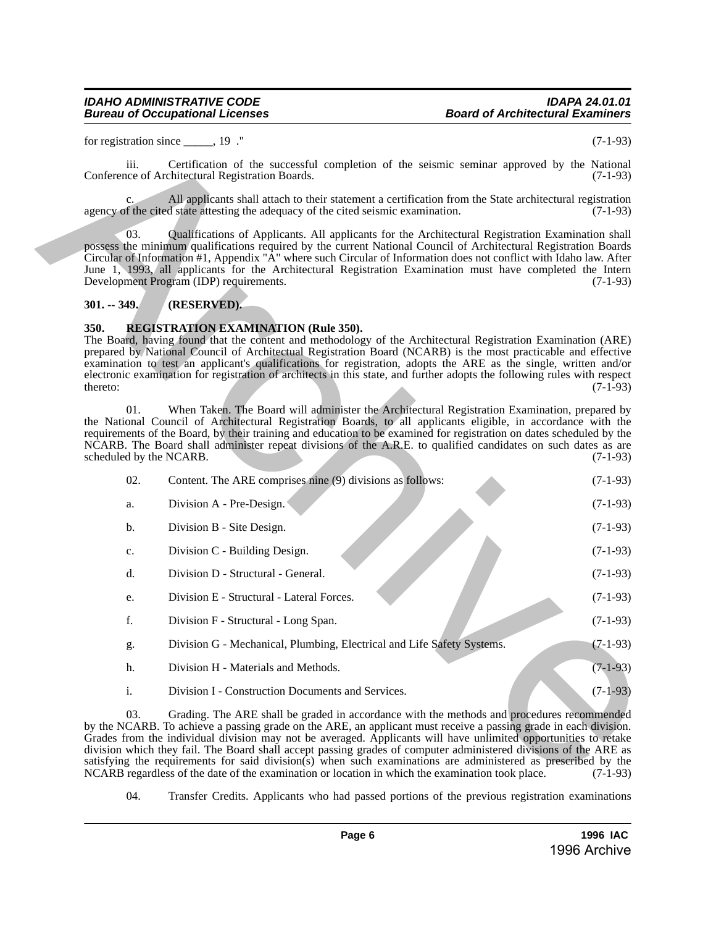### *IDAHO ADMINISTRATIVE CODE IDAPA 24.01.01 Bureau of Occupational Licenses*

# <span id="page-5-0"></span>**301. -- 349. (RESERVED).**

### <span id="page-5-1"></span>**350. REGISTRATION EXAMINATION (Rule 350).**

|                         | for registration since _____, 19 ."                                                                                                                                                                                                                                                                                                                                                                                                                                                                                                                                                                                                                                        | $(7-1-93)$ |
|-------------------------|----------------------------------------------------------------------------------------------------------------------------------------------------------------------------------------------------------------------------------------------------------------------------------------------------------------------------------------------------------------------------------------------------------------------------------------------------------------------------------------------------------------------------------------------------------------------------------------------------------------------------------------------------------------------------|------------|
| iii.                    | Certification of the successful completion of the seismic seminar approved by the National<br>Conference of Architectural Registration Boards.                                                                                                                                                                                                                                                                                                                                                                                                                                                                                                                             | $(7-1-93)$ |
|                         | All applicants shall attach to their statement a certification from the State architectural registration<br>agency of the cited state attesting the adequacy of the cited seismic examination.                                                                                                                                                                                                                                                                                                                                                                                                                                                                             | $(7-1-93)$ |
| 03.                     | Qualifications of Applicants. All applicants for the Architectural Registration Examination shall<br>possess the minimum qualifications required by the current National Council of Architectural Registration Boards<br>Circular of Information #1, Appendix "A" where such Circular of Information does not conflict with Idaho law. After<br>June 1, 1993, all applicants for the Architectural Registration Examination must have completed the Intern<br>Development Program (IDP) requirements.                                                                                                                                                                      | $(7-1-93)$ |
| $301. - 349.$           | (RESERVED).                                                                                                                                                                                                                                                                                                                                                                                                                                                                                                                                                                                                                                                                |            |
| 350.<br>thereto:<br>01. | <b>REGISTRATION EXAMINATION (Rule 350).</b><br>The Board, having found that the content and methodology of the Architectural Registration Examination (ARE)<br>prepared by National Council of Architectual Registration Board (NCARB) is the most practicable and effective<br>examination to test an applicant's qualifications for registration, adopts the ARE as the single, written and/or<br>electronic examination for registration of architects in this state, and further adopts the following rules with respect<br>When Taken. The Board will administer the Architectural Registration Examination, prepared by                                              | $(7-1-93)$ |
| scheduled by the NCARB. | the National Council of Architectural Registration Boards, to all applicants eligible, in accordance with the<br>requirements of the Board, by their training and education to be examined for registration on dates scheduled by the<br>NCARB. The Board shall administer repeat divisions of the A.R.E. to qualified candidates on such dates as are                                                                                                                                                                                                                                                                                                                     | $(7-1-93)$ |
| 02.                     | Content. The ARE comprises nine (9) divisions as follows:                                                                                                                                                                                                                                                                                                                                                                                                                                                                                                                                                                                                                  | $(7-1-93)$ |
| a.                      | Division A - Pre-Design.                                                                                                                                                                                                                                                                                                                                                                                                                                                                                                                                                                                                                                                   | $(7-1-93)$ |
| b.                      | Division B - Site Design.                                                                                                                                                                                                                                                                                                                                                                                                                                                                                                                                                                                                                                                  | $(7-1-93)$ |
| c.                      | Division C - Building Design.                                                                                                                                                                                                                                                                                                                                                                                                                                                                                                                                                                                                                                              | $(7-1-93)$ |
| d.                      | Division D - Structural - General.                                                                                                                                                                                                                                                                                                                                                                                                                                                                                                                                                                                                                                         | $(7-1-93)$ |
| e.                      | Division E - Structural - Lateral Forces.                                                                                                                                                                                                                                                                                                                                                                                                                                                                                                                                                                                                                                  | $(7-1-93)$ |
| f.                      | Division F - Structural - Long Span.                                                                                                                                                                                                                                                                                                                                                                                                                                                                                                                                                                                                                                       | $(7-1-93)$ |
| g.                      | Division G - Mechanical, Plumbing, Electrical and Life Safety Systems.                                                                                                                                                                                                                                                                                                                                                                                                                                                                                                                                                                                                     | $(7-1-93)$ |
| h.                      | Division H - Materials and Methods.                                                                                                                                                                                                                                                                                                                                                                                                                                                                                                                                                                                                                                        | $(7-1-93)$ |
| i.                      | Division I - Construction Documents and Services.                                                                                                                                                                                                                                                                                                                                                                                                                                                                                                                                                                                                                          | $(7-1-93)$ |
| 03.                     | Grading. The ARE shall be graded in accordance with the methods and procedures recommended<br>by the NCARB. To achieve a passing grade on the ARE, an applicant must receive a passing grade in each division.<br>Grades from the individual division may not be averaged. Applicants will have unlimited opportunities to retake<br>division which they fail. The Board shall accept passing grades of computer administered divisions of the ARE as<br>satisfying the requirements for said division(s) when such examinations are administered as prescribed by the<br>NCARB regardless of the date of the examination or location in which the examination took place. | $(7-1-93)$ |

04. Transfer Credits. Applicants who had passed portions of the previous registration examinations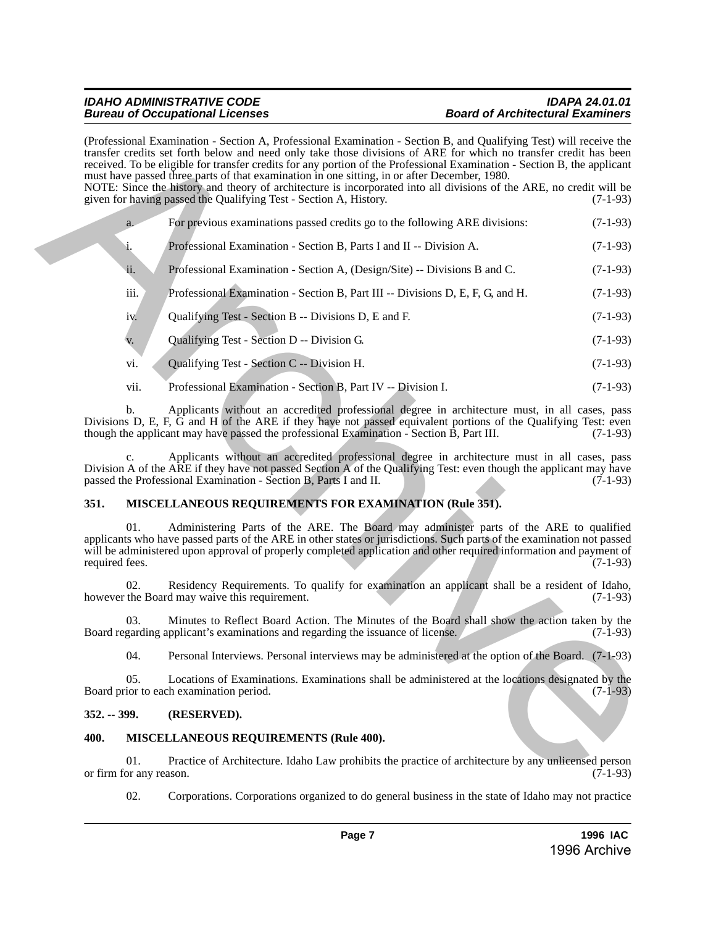|                |                                | (Professional Examination - Section A, Professional Examination - Section B, and Qualifying Test) will receive the<br>transfer credits set forth below and need only take those divisions of ARE for which no transfer credit has been<br>received. To be eligible for transfer credits for any portion of the Professional Examination - Section B, the applicant<br>must have passed three parts of that examination in one sitting, in or after December, 1980.<br>NOTE: Since the history and theory of architecture is incorporated into all divisions of the ARE, no credit will be<br>given for having passed the Qualifying Test - Section A, History. | $(7-1-93)$ |
|----------------|--------------------------------|----------------------------------------------------------------------------------------------------------------------------------------------------------------------------------------------------------------------------------------------------------------------------------------------------------------------------------------------------------------------------------------------------------------------------------------------------------------------------------------------------------------------------------------------------------------------------------------------------------------------------------------------------------------|------------|
|                | a.                             | For previous examinations passed credits go to the following ARE divisions:                                                                                                                                                                                                                                                                                                                                                                                                                                                                                                                                                                                    | $(7-1-93)$ |
|                | i,                             | Professional Examination - Section B, Parts I and II -- Division A.                                                                                                                                                                                                                                                                                                                                                                                                                                                                                                                                                                                            | $(7-1-93)$ |
|                | ü.                             | Professional Examination - Section A, (Design/Site) -- Divisions B and C.                                                                                                                                                                                                                                                                                                                                                                                                                                                                                                                                                                                      | $(7-1-93)$ |
|                | iii.                           | Professional Examination - Section B, Part III -- Divisions D, E, F, G, and H.                                                                                                                                                                                                                                                                                                                                                                                                                                                                                                                                                                                 | $(7-1-93)$ |
|                | iv.                            | Qualifying Test - Section B -- Divisions D, E and F.                                                                                                                                                                                                                                                                                                                                                                                                                                                                                                                                                                                                           | $(7-1-93)$ |
|                | V.                             | Qualifying Test - Section D -- Division G.                                                                                                                                                                                                                                                                                                                                                                                                                                                                                                                                                                                                                     | $(7-1-93)$ |
|                | vi.                            | Qualifying Test - Section C -- Division H.                                                                                                                                                                                                                                                                                                                                                                                                                                                                                                                                                                                                                     | $(7-1-93)$ |
|                | vii.                           | Professional Examination - Section B, Part IV -- Division I.                                                                                                                                                                                                                                                                                                                                                                                                                                                                                                                                                                                                   | $(7-1-93)$ |
|                | b.                             | Applicants without an accredited professional degree in architecture must, in all cases, pass<br>Divisions D, E, F, G and H of the ARE if they have not passed equivalent portions of the Qualifying Test: even<br>though the applicant may have passed the professional Examination - Section B, Part III.                                                                                                                                                                                                                                                                                                                                                    | $(7-1-93)$ |
|                | c.                             | Applicants without an accredited professional degree in architecture must in all cases, pass<br>Division A of the ARE if they have not passed Section A of the Qualifying Test: even though the applicant may have<br>passed the Professional Examination - Section B, Parts I and II.                                                                                                                                                                                                                                                                                                                                                                         | $(7-1-93)$ |
| 351.           |                                | MISCELLANEOUS REQUIREMENTS FOR EXAMINATION (Rule 351).                                                                                                                                                                                                                                                                                                                                                                                                                                                                                                                                                                                                         |            |
| required fees. | 01.                            | Administering Parts of the ARE. The Board may administer parts of the ARE to qualified<br>applicants who have passed parts of the ARE in other states or jurisdictions. Such parts of the examination not passed<br>will be administered upon approval of properly completed application and other required information and payment of                                                                                                                                                                                                                                                                                                                         | $(7-1-93)$ |
|                | 02.                            | Residency Requirements. To qualify for examination an applicant shall be a resident of Idaho,<br>however the Board may waive this requirement.                                                                                                                                                                                                                                                                                                                                                                                                                                                                                                                 | $(7-1-93)$ |
|                | 03.                            | Minutes to Reflect Board Action. The Minutes of the Board shall show the action taken by the<br>Board regarding applicant's examinations and regarding the issuance of license.                                                                                                                                                                                                                                                                                                                                                                                                                                                                                | $(7-1-93)$ |
|                | 04.                            | Personal Interviews. Personal interviews may be administered at the option of the Board. (7-1-93)                                                                                                                                                                                                                                                                                                                                                                                                                                                                                                                                                              |            |
|                | 05.                            | Locations of Examinations. Examinations shall be administered at the locations designated by the<br>Board prior to each examination period.                                                                                                                                                                                                                                                                                                                                                                                                                                                                                                                    | $(7-1-93)$ |
| $352. - 399.$  |                                | (RESERVED).                                                                                                                                                                                                                                                                                                                                                                                                                                                                                                                                                                                                                                                    |            |
| 400.           |                                | MISCELLANEOUS REQUIREMENTS (Rule 400).                                                                                                                                                                                                                                                                                                                                                                                                                                                                                                                                                                                                                         |            |
|                | 01.<br>or firm for any reason. | Practice of Architecture. Idaho Law prohibits the practice of architecture by any unlicensed person                                                                                                                                                                                                                                                                                                                                                                                                                                                                                                                                                            | $(7-1-93)$ |

# <span id="page-6-0"></span>**351. MISCELLANEOUS REQUIREMENTS FOR EXAMINATION (Rule 351).**

# <span id="page-6-1"></span>**352. -- 399. (RESERVED).**

# <span id="page-6-2"></span>**400. MISCELLANEOUS REQUIREMENTS (Rule 400).**

02. Corporations. Corporations organized to do general business in the state of Idaho may not practice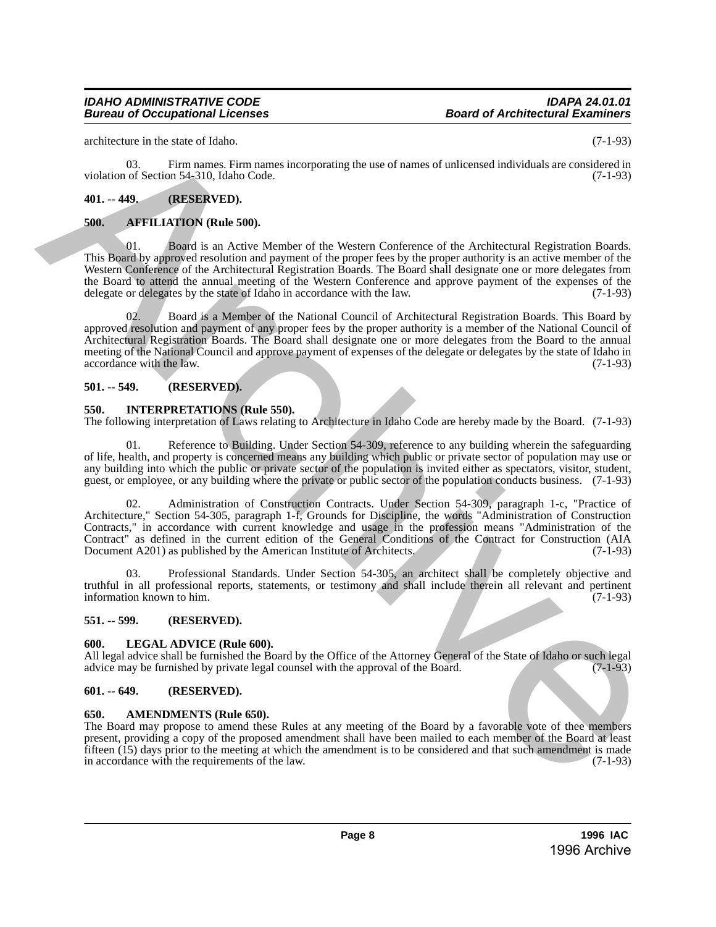### *IDAHO ADMINISTRATIVE CODE IDAPA 24.01.01 Bureau of Occupational Licenses*

architecture in the state of Idaho. (7-1-93)

03. Firm names. Firm names incorporating the use of names of unlicensed individuals are considered in violation of Section 54-310, Idaho Code. (7-1-93)

# <span id="page-7-0"></span>**401. -- 449. (RESERVED).**

# <span id="page-7-1"></span>**500. AFFILIATION (Rule 500).**

Board is an Active Member of the Western Conference of the Architectural Registration Boards. This Board by approved resolution and payment of the proper fees by the proper authority is an active member of the Western Conference of the Architectural Registration Boards. The Board shall designate one or more delegates from the Board to attend the annual meeting of the Western Conference and approve payment of the expenses of the delegate or delegates by the state of Idaho in accordance with the law. (7-1-93) delegate or delegates by the state of Idaho in accordance with the law.

02. Board is a Member of the National Council of Architectural Registration Boards. This Board by approved resolution and payment of any proper fees by the proper authority is a member of the National Council of Architectural Registration Boards. The Board shall designate one or more delegates from the Board to the annual meeting of the National Council and approve payment of expenses of the delegate or delegates by the state of Idaho in accordance with the law. (7-1-93)

# **501. -- 549. (RESERVED).**

### <span id="page-7-2"></span>**550. INTERPRETATIONS (Rule 550).**

The following interpretation of Laws relating to Architecture in Idaho Code are hereby made by the Board. (7-1-93)

01. Reference to Building. Under Section 54-309, reference to any building wherein the safeguarding of life, health, and property is concerned means any building which public or private sector of population may use or any building into which the public or private sector of the population is invited either as spectators, visitor, student, guest, or employee, or any building where the private or public sector of the population conducts business. (7-1-93)

02. Administration of Construction Contracts. Under Section 54-309, paragraph 1-c, "Practice of Architecture," Section 54-305, paragraph 1-f, Grounds for Discipline, the words "Administration of Construction Contracts," in accordance with current knowledge and usage in the profession means "Administration of the Contract" as defined in the current edition of the General Conditions of the Contract for Construction (AIA Document A201) as published by the American Institute of Architects. (7-1-93) archive can be seen that the case of the second interesting the two distinctions of the case of the second interesting (7-1.95)<br>
49. (3). Firm same, Firm name, Firm name incorporating the two distinctions of the local cas

03. Professional Standards. Under Section 54-305, an architect shall be completely objective and truthful in all professional reports, statements, or testimony and shall include therein all relevant and pertinent information known to him.

# <span id="page-7-3"></span>**551. -- 599. (RESERVED).**

# <span id="page-7-4"></span>**600. LEGAL ADVICE (Rule 600).**

All legal advice shall be furnished the Board by the Office of the Attorney General of the State of Idaho or such legal advice may be furnished by private legal counsel with the approval of the Board. (7-1-93) advice may be furnished by private legal counsel with the approval of the Board.

# <span id="page-7-5"></span>**601. -- 649. (RESERVED).**

### <span id="page-7-6"></span>**650. AMENDMENTS (Rule 650).**

The Board may propose to amend these Rules at any meeting of the Board by a favorable vote of thee members present, providing a copy of the proposed amendment shall have been mailed to each member of the Board at least fifteen  $(15)$  days prior to the meeting at which the amendment is to be considered and that such amendment is made in accordance with the requirements of the law. (7-1-93)